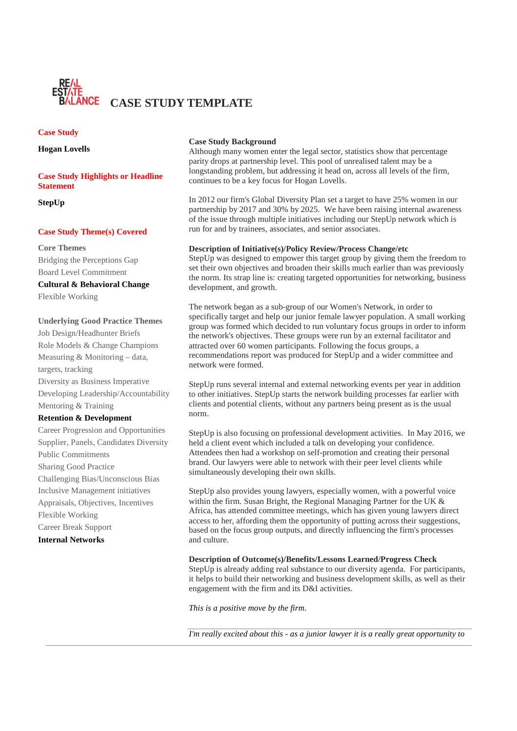

## **Case Study**

**Hogan Lovells**

# **Case Study Highlights or Headline Statement**

**StepUp**

#### **Case Study Theme(s) Covered**

#### **Core Themes**

Bridging the Perceptions Gap Board Level Commitment

# **Cultural & Behavioral Change**

Flexible Working

### **Underlying Good Practice Themes**

Job Design/Headhunter Briefs Role Models & Change Champions Measuring & Monitoring – data, targets, tracking Diversity as Business Imperative Developing Leadership/Accountability Mentoring & Training

## **Retention & Development**

Career Progression and Opportunities Supplier, Panels, Candidates Diversity Public Commitments Sharing Good Practice Challenging Bias/Unconscious Bias Inclusive Management initiatives Appraisals, Objectives, Incentives Flexible Working Career Break Support **Internal Networks**

### **Case Study Background**

Although many women enter the legal sector, statistics show that percentage parity drops at partnership level. This pool of unrealised talent may be a longstanding problem, but addressing it head on, across all levels of the firm, continues to be a key focus for Hogan Lovells.

In 2012 our firm's Global Diversity Plan set a target to have 25% women in our partnership by 2017 and 30% by 2025. We have been raising internal awareness of the issue through multiple initiatives including our StepUp network which is run for and by trainees, associates, and senior associates.

## **Description of Initiative(s)/Policy Review/Process Change/etc**

StepUp was designed to empower this target group by giving them the freedom to set their own objectives and broaden their skills much earlier than was previously the norm. Its strap line is: creating targeted opportunities for networking, business development, and growth.

The network began as a sub-group of our Women's Network, in order to specifically target and help our junior female lawyer population. A small working group was formed which decided to run voluntary focus groups in order to inform the network's objectives. These groups were run by an external facilitator and attracted over 60 women participants. Following the focus groups, a recommendations report was produced for StepUp and a wider committee and network were formed.

StepUp runs several internal and external networking events per year in addition to other initiatives. StepUp starts the network building processes far earlier with clients and potential clients, without any partners being present as is the usual norm.

StepUp is also focusing on professional development activities. In May 2016, we held a client event which included a talk on developing your confidence. Attendees then had a workshop on self-promotion and creating their personal brand. Our lawyers were able to network with their peer level clients while simultaneously developing their own skills.

StepUp also provides young lawyers, especially women, with a powerful voice within the firm. Susan Bright, the Regional Managing Partner for the UK & Africa, has attended committee meetings, which has given young lawyers direct access to her, affording them the opportunity of putting across their suggestions, based on the focus group outputs, and directly influencing the firm's processes and culture.

## **Description of Outcome(s)/Benefits/Lessons Learned/Progress Check**

StepUp is already adding real substance to our diversity agenda. For participants, it helps to build their networking and business development skills, as well as their engagement with the firm and its D&I activities.

*This is a positive move by the firm.*

*I'm really excited about this - as a junior lawyer it is a really great opportunity to*